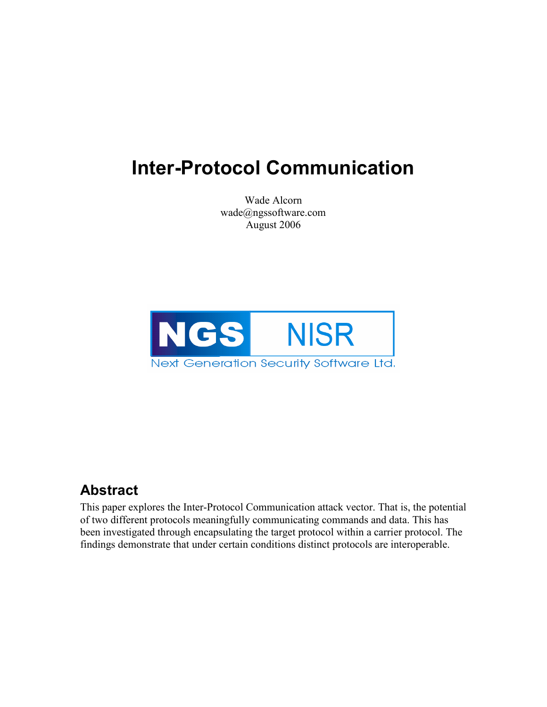# Inter-Protocol Communication

Wade Alcorn wade@ngssoftware.com August 2006



### Abstract

This paper explores the Inter-Protocol Communication attack vector. That is, the potential of two different protocols meaningfully communicating commands and data. This has been investigated through encapsulating the target protocol within a carrier protocol. The findings demonstrate that under certain conditions distinct protocols are interoperable.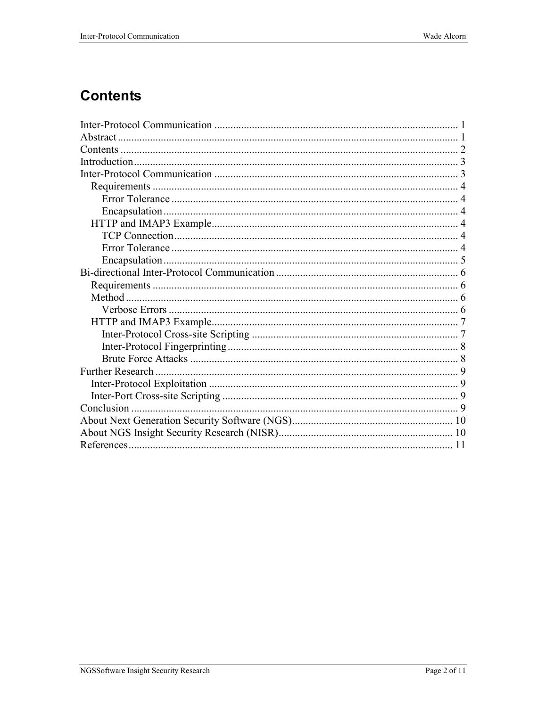### **Contents**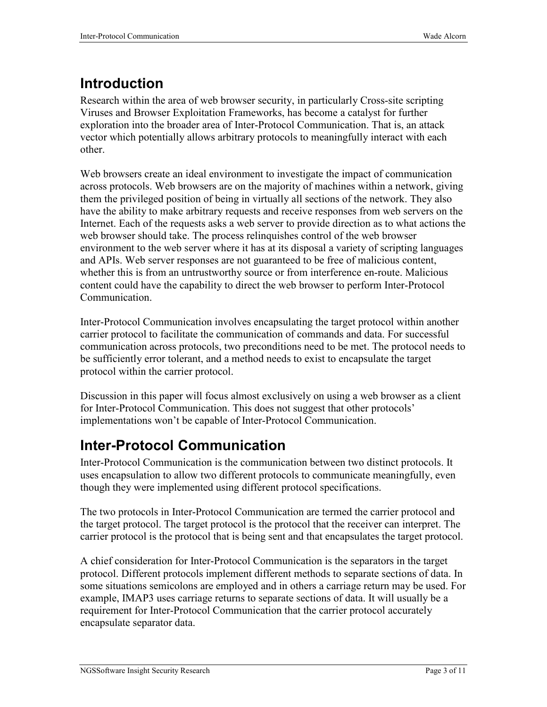## Introduction

Research within the area of web browser security, in particularly Cross-site scripting Viruses and Browser Exploitation Frameworks, has become a catalyst for further exploration into the broader area of Inter-Protocol Communication. That is, an attack vector which potentially allows arbitrary protocols to meaningfully interact with each other.

Web browsers create an ideal environment to investigate the impact of communication across protocols. Web browsers are on the majority of machines within a network, giving them the privileged position of being in virtually all sections of the network. They also have the ability to make arbitrary requests and receive responses from web servers on the Internet. Each of the requests asks a web server to provide direction as to what actions the web browser should take. The process relinquishes control of the web browser environment to the web server where it has at its disposal a variety of scripting languages and APIs. Web server responses are not guaranteed to be free of malicious content, whether this is from an untrustworthy source or from interference en-route. Malicious content could have the capability to direct the web browser to perform Inter-Protocol Communication.

Inter-Protocol Communication involves encapsulating the target protocol within another carrier protocol to facilitate the communication of commands and data. For successful communication across protocols, two preconditions need to be met. The protocol needs to be sufficiently error tolerant, and a method needs to exist to encapsulate the target protocol within the carrier protocol.

Discussion in this paper will focus almost exclusively on using a web browser as a client for Inter-Protocol Communication. This does not suggest that other protocols' implementations won't be capable of Inter-Protocol Communication.

### Inter-Protocol Communication

Inter-Protocol Communication is the communication between two distinct protocols. It uses encapsulation to allow two different protocols to communicate meaningfully, even though they were implemented using different protocol specifications.

The two protocols in Inter-Protocol Communication are termed the carrier protocol and the target protocol. The target protocol is the protocol that the receiver can interpret. The carrier protocol is the protocol that is being sent and that encapsulates the target protocol.

A chief consideration for Inter-Protocol Communication is the separators in the target protocol. Different protocols implement different methods to separate sections of data. In some situations semicolons are employed and in others a carriage return may be used. For example, IMAP3 uses carriage returns to separate sections of data. It will usually be a requirement for Inter-Protocol Communication that the carrier protocol accurately encapsulate separator data.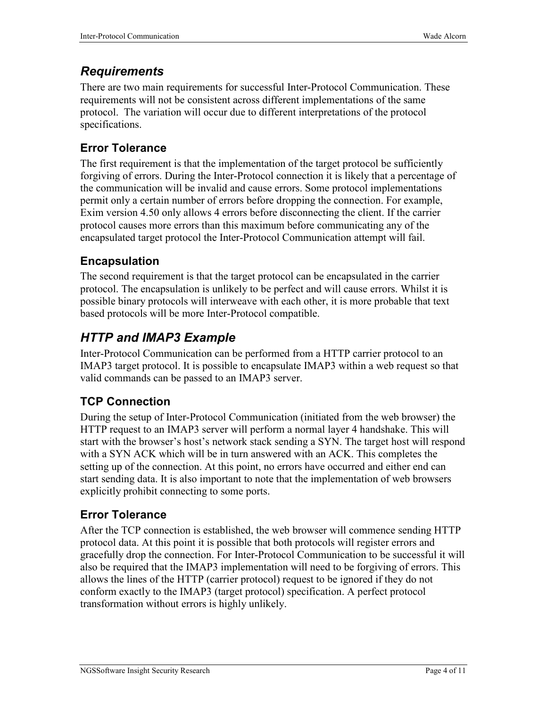#### **Requirements**

There are two main requirements for successful Inter-Protocol Communication. These requirements will not be consistent across different implementations of the same protocol. The variation will occur due to different interpretations of the protocol specifications.

#### Error Tolerance

The first requirement is that the implementation of the target protocol be sufficiently forgiving of errors. During the Inter-Protocol connection it is likely that a percentage of the communication will be invalid and cause errors. Some protocol implementations permit only a certain number of errors before dropping the connection. For example, Exim version 4.50 only allows 4 errors before disconnecting the client. If the carrier protocol causes more errors than this maximum before communicating any of the encapsulated target protocol the Inter-Protocol Communication attempt will fail.

#### Encapsulation

The second requirement is that the target protocol can be encapsulated in the carrier protocol. The encapsulation is unlikely to be perfect and will cause errors. Whilst it is possible binary protocols will interweave with each other, it is more probable that text based protocols will be more Inter-Protocol compatible.

### HTTP and IMAP3 Example

Inter-Protocol Communication can be performed from a HTTP carrier protocol to an IMAP3 target protocol. It is possible to encapsulate IMAP3 within a web request so that valid commands can be passed to an IMAP3 server.

#### TCP Connection

During the setup of Inter-Protocol Communication (initiated from the web browser) the HTTP request to an IMAP3 server will perform a normal layer 4 handshake. This will start with the browser's host's network stack sending a SYN. The target host will respond with a SYN ACK which will be in turn answered with an ACK. This completes the setting up of the connection. At this point, no errors have occurred and either end can start sending data. It is also important to note that the implementation of web browsers explicitly prohibit connecting to some ports.

#### Error Tolerance

After the TCP connection is established, the web browser will commence sending HTTP protocol data. At this point it is possible that both protocols will register errors and gracefully drop the connection. For Inter-Protocol Communication to be successful it will also be required that the IMAP3 implementation will need to be forgiving of errors. This allows the lines of the HTTP (carrier protocol) request to be ignored if they do not conform exactly to the IMAP3 (target protocol) specification. A perfect protocol transformation without errors is highly unlikely.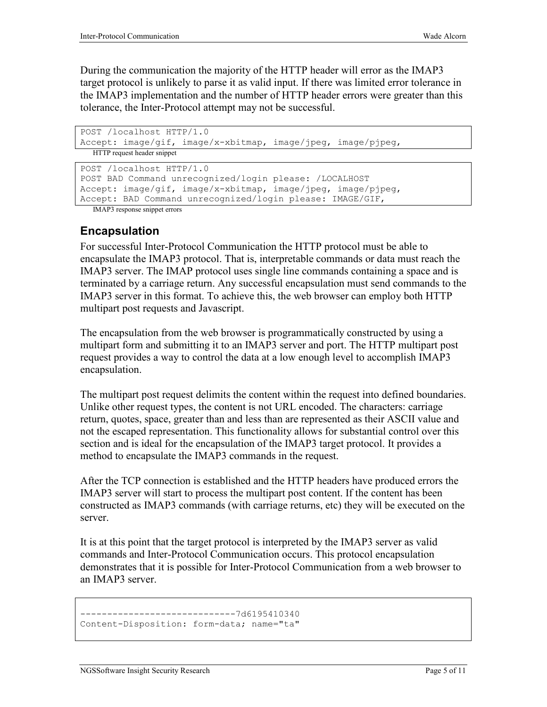During the communication the majority of the HTTP header will error as the IMAP3 target protocol is unlikely to parse it as valid input. If there was limited error tolerance in the IMAP3 implementation and the number of HTTP header errors were greater than this tolerance, the Inter-Protocol attempt may not be successful.

```
POST /localhost HTTP/1.0 
Accept: image/gif, image/x-xbitmap, image/jpeg, image/pjpeg, 
  HTTP request header snippet
```

```
POST /localhost HTTP/1.0 
POST BAD Command unrecognized/login please: /LOCALHOST 
Accept: image/gif, image/x-xbitmap, image/jpeg, image/pjpeg,
```

```
Accept: BAD Command unrecognized/login please: IMAGE/GIF,
```
IMAP3 response snippet errors

#### Encapsulation

For successful Inter-Protocol Communication the HTTP protocol must be able to encapsulate the IMAP3 protocol. That is, interpretable commands or data must reach the IMAP3 server. The IMAP protocol uses single line commands containing a space and is terminated by a carriage return. Any successful encapsulation must send commands to the IMAP3 server in this format. To achieve this, the web browser can employ both HTTP multipart post requests and Javascript.

The encapsulation from the web browser is programmatically constructed by using a multipart form and submitting it to an IMAP3 server and port. The HTTP multipart post request provides a way to control the data at a low enough level to accomplish IMAP3 encapsulation.

The multipart post request delimits the content within the request into defined boundaries. Unlike other request types, the content is not URL encoded. The characters: carriage return, quotes, space, greater than and less than are represented as their ASCII value and not the escaped representation. This functionality allows for substantial control over this section and is ideal for the encapsulation of the IMAP3 target protocol. It provides a method to encapsulate the IMAP3 commands in the request.

After the TCP connection is established and the HTTP headers have produced errors the IMAP3 server will start to process the multipart post content. If the content has been constructed as IMAP3 commands (with carriage returns, etc) they will be executed on the server.

It is at this point that the target protocol is interpreted by the IMAP3 server as valid commands and Inter-Protocol Communication occurs. This protocol encapsulation demonstrates that it is possible for Inter-Protocol Communication from a web browser to an IMAP3 server.

```
-----------------------------7d6195410340 
Content-Disposition: form-data; name="ta"
```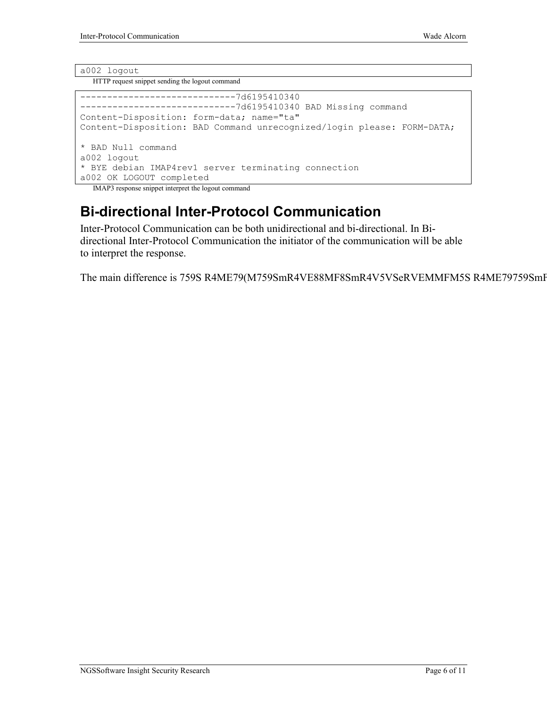#### a002 logout

HTTP request snippet sending the logout command

```
-----------------------------7d6195410340 
-----------------------------7d6195410340 BAD Missing command 
Content-Disposition: form-data; name="ta" 
Content-Disposition: BAD Command unrecognized/login please: FORM-DATA; 
* BAD Null command 
a002 logout 
* BYE debian IMAP4rev1 server terminating connection 
a002 OK LOGOUT completed
```
IMAP3 response snippet interpret the logout command

### Bi-directional Inter-Protocol Communication

Inter-Protocol Communication can be both unidirectional and bi-directional. In Bidirectional Inter-Protocol Communication the initiator of the communication will be able to interpret the response.

The main difference is 759S R4ME79(M759SmR4VE88MF8SmR4V5VSeRVEMMFM5S R4ME79759SmF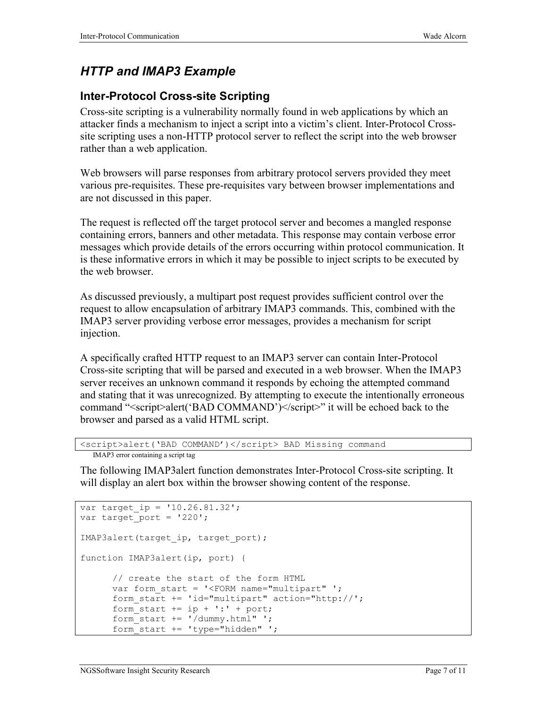### HTTP and IMAP3 Example

#### Inter-Protocol Cross-site Scripting

Cross-site scripting is a vulnerability normally found in web applications by which an attacker finds a mechanism to inject a script into a victim's client. Inter-Protocol Crosssite scripting uses a non-HTTP protocol server to reflect the script into the web browser rather than a web application.

Web browsers will parse responses from arbitrary protocol servers provided they meet various pre-requisites. These pre-requisites vary between browser implementations and are not discussed in this paper.

The request is reflected off the target protocol server and becomes a mangled response containing errors, banners and other metadata. This response may contain verbose error messages which provide details of the errors occurring within protocol communication. It is these informative errors in which it may be possible to inject scripts to be executed by the web browser.

As discussed previously, a multipart post request provides sufficient control over the request to allow encapsulation of arbitrary IMAP3 commands. This, combined with the IMAP3 server providing verbose error messages, provides a mechanism for script injection.

A specifically crafted HTTP request to an IMAP3 server can contain Inter-Protocol Cross-site scripting that will be parsed and executed in a web browser. When the IMAP3 server receives an unknown command it responds by echoing the attempted command and stating that it was unrecognized. By attempting to execute the intentionally erroneous command "<script>alert('BAD COMMAND')</script>" it will be echoed back to the browser and parsed as a valid HTML script.

```
<script>alert('BAD COMMAND')</script> BAD Missing command
```

```
IMAP3 error containing a script tag
```
The following IMAP3alert function demonstrates Inter-Protocol Cross-site scripting. It will display an alert box within the browser showing content of the response.

```
var target ip = '10.26.81.32';
var target port = '220';IMAP3alert(target_ip, target port);
function IMAP3alert(ip, port) { 
       // create the start of the form HTML 
      var form start = '<FORM name="multipart" ';
      form start += 'id="multipart" action="http://';
      form start += ip + ':' + port;
      form start += '/dummy.html" ';
      form start += 'type="hidden" ';
```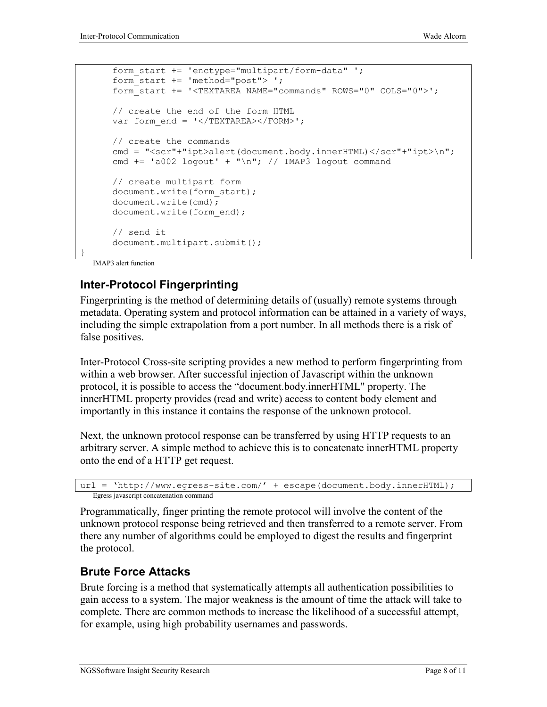```
form start += 'enctype="multipart/form-data" ';
form start += 'method="post"> ';
 form_start += '<TEXTAREA NAME="commands" ROWS="0" COLS="0">'; 
 // create the end of the form HTML 
var form end = '</TEXTAREA></FORM>';
 // create the commands 
cmd = "<scr"+"ipt>alert(document.body.innerHTML)</scr"+"ipt>\n";
cmd += 'a002 logout' + "\n"; // IMAP3 logout command
 // create multipart form 
document.write(form start);
 document.write(cmd); 
document.write(form end);
 // send it 
 document.multipart.submit();
```
IMAP3 alert function

}

#### Inter-Protocol Fingerprinting

Fingerprinting is the method of determining details of (usually) remote systems through metadata. Operating system and protocol information can be attained in a variety of ways, including the simple extrapolation from a port number. In all methods there is a risk of false positives.

Inter-Protocol Cross-site scripting provides a new method to perform fingerprinting from within a web browser. After successful injection of Javascript within the unknown protocol, it is possible to access the "document.body.innerHTML" property. The innerHTML property provides (read and write) access to content body element and importantly in this instance it contains the response of the unknown protocol.

Next, the unknown protocol response can be transferred by using HTTP requests to an arbitrary server. A simple method to achieve this is to concatenate innerHTML property onto the end of a HTTP get request.

```
url = 'http://www.egress-site.com/' + escape(document.body.innerHTML); 
  Egress javascript concatenation command
```
Programmatically, finger printing the remote protocol will involve the content of the unknown protocol response being retrieved and then transferred to a remote server. From there any number of algorithms could be employed to digest the results and fingerprint the protocol.

#### Brute Force Attacks

Brute forcing is a method that systematically attempts all authentication possibilities to gain access to a system. The major weakness is the amount of time the attack will take to complete. There are common methods to increase the likelihood of a successful attempt, for example, using high probability usernames and passwords.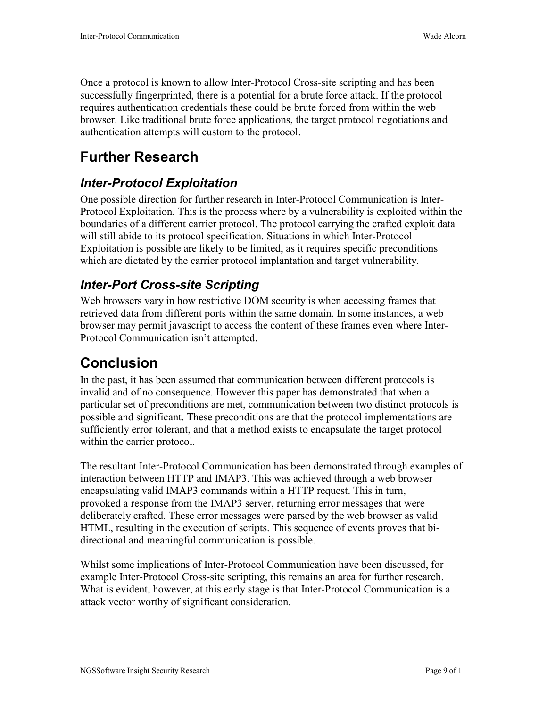Once a protocol is known to allow Inter-Protocol Cross-site scripting and has been successfully fingerprinted, there is a potential for a brute force attack. If the protocol requires authentication credentials these could be brute forced from within the web browser. Like traditional brute force applications, the target protocol negotiations and authentication attempts will custom to the protocol.

### Further Research

### Inter-Protocol Exploitation

One possible direction for further research in Inter-Protocol Communication is Inter-Protocol Exploitation. This is the process where by a vulnerability is exploited within the boundaries of a different carrier protocol. The protocol carrying the crafted exploit data will still abide to its protocol specification. Situations in which Inter-Protocol Exploitation is possible are likely to be limited, as it requires specific preconditions which are dictated by the carrier protocol implantation and target vulnerability.

### Inter-Port Cross-site Scripting

Web browsers vary in how restrictive DOM security is when accessing frames that retrieved data from different ports within the same domain. In some instances, a web browser may permit javascript to access the content of these frames even where Inter-Protocol Communication isn't attempted.

### Conclusion

In the past, it has been assumed that communication between different protocols is invalid and of no consequence. However this paper has demonstrated that when a particular set of preconditions are met, communication between two distinct protocols is possible and significant. These preconditions are that the protocol implementations are sufficiently error tolerant, and that a method exists to encapsulate the target protocol within the carrier protocol.

The resultant Inter-Protocol Communication has been demonstrated through examples of interaction between HTTP and IMAP3. This was achieved through a web browser encapsulating valid IMAP3 commands within a HTTP request. This in turn, provoked a response from the IMAP3 server, returning error messages that were deliberately crafted. These error messages were parsed by the web browser as valid HTML, resulting in the execution of scripts. This sequence of events proves that bidirectional and meaningful communication is possible.

Whilst some implications of Inter-Protocol Communication have been discussed, for example Inter-Protocol Cross-site scripting, this remains an area for further research. What is evident, however, at this early stage is that Inter-Protocol Communication is a attack vector worthy of significant consideration.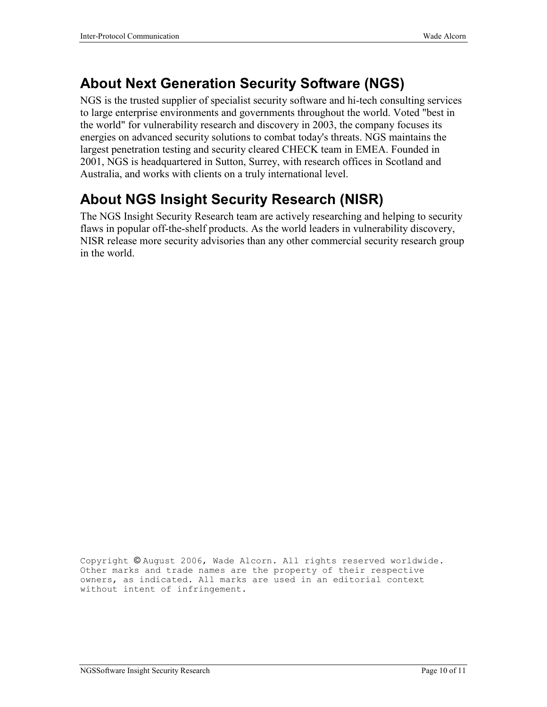### About Next Generation Security Software (NGS)

NGS is the trusted supplier of specialist security software and hi-tech consulting services to large enterprise environments and governments throughout the world. Voted "best in the world" for vulnerability research and discovery in 2003, the company focuses its energies on advanced security solutions to combat today's threats. NGS maintains the largest penetration testing and security cleared CHECK team in EMEA. Founded in 2001, NGS is headquartered in Sutton, Surrey, with research offices in Scotland and Australia, and works with clients on a truly international level.

### About NGS Insight Security Research (NISR)

The NGS Insight Security Research team are actively researching and helping to security flaws in popular off-the-shelf products. As the world leaders in vulnerability discovery, NISR release more security advisories than any other commercial security research group in the world.

Copyright © August 2006, Wade Alcorn. All rights reserved worldwide. Other marks and trade names are the property of their respective owners, as indicated. All marks are used in an editorial context without intent of infringement.